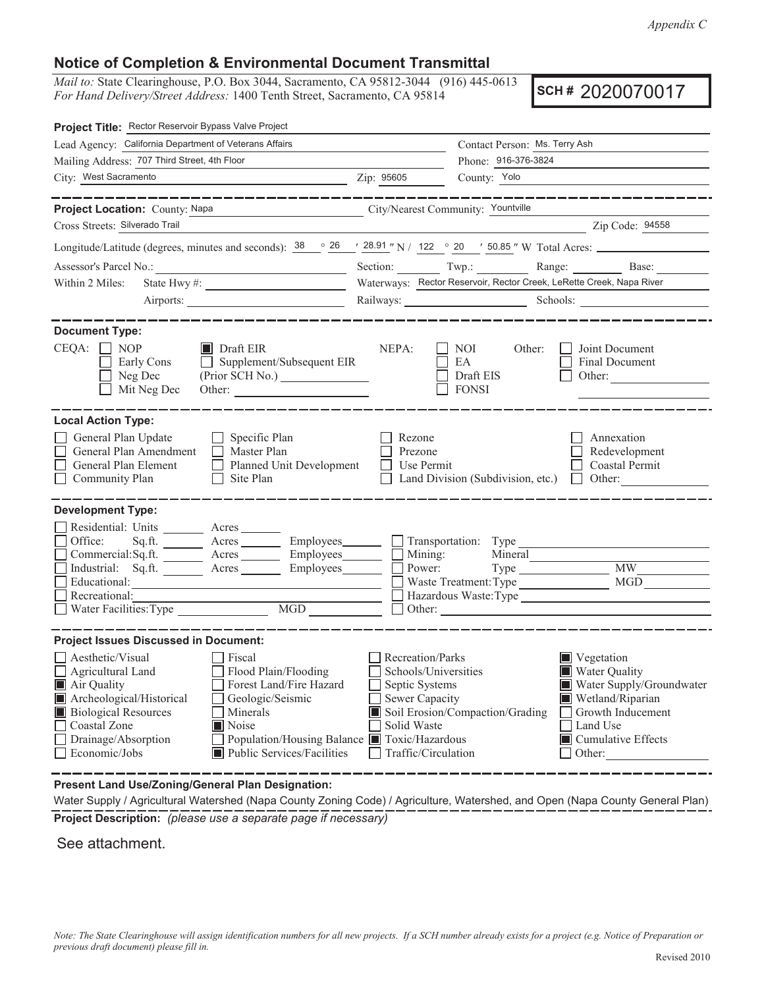*Appendix C*

## **Notice of Completion & Environmental Document Transmittal**

*Mail to:* State Clearinghouse, P.O. Box 3044, Sacramento, CA 95812-3044 (916) 445-0613 *For Hand Delivery/Street Address:* 1400 Tenth Street, Sacramento, CA 95814

**SCH #** 2020070017

| Project Title: Rector Reservoir Bypass Valve Project                                                                                                          |                                                               |                                                                                            |                                                           |                                                                |  |  |
|---------------------------------------------------------------------------------------------------------------------------------------------------------------|---------------------------------------------------------------|--------------------------------------------------------------------------------------------|-----------------------------------------------------------|----------------------------------------------------------------|--|--|
| Lead Agency: California Department of Veterans Affairs                                                                                                        |                                                               |                                                                                            | Contact Person: Ms. Terry Ash                             |                                                                |  |  |
| Mailing Address: 707 Third Street, 4th Floor                                                                                                                  | Phone: 916-376-3824                                           |                                                                                            |                                                           |                                                                |  |  |
| City: West Sacramento                                                                                                                                         | <u> 1989 - Johann Stein, mars an de Brazilian (b. 1989)</u>   | Zip: 95605                                                                                 | County: Yolo                                              |                                                                |  |  |
|                                                                                                                                                               | _____________                                                 |                                                                                            |                                                           | ________________                                               |  |  |
| Project Location: County: Napa                                                                                                                                |                                                               |                                                                                            | City/Nearest Community: Yountville                        |                                                                |  |  |
| Cross Streets: Silverado Trail                                                                                                                                |                                                               |                                                                                            | <u> 1989 - Johann Barbara, martin amerikan personal (</u> | Zip Code: 94558                                                |  |  |
| Longitude/Latitude (degrees, minutes and seconds): $\frac{38}{100}$ $\frac{26}{100}$ $\frac{1}{28.91}$ "N / 122 $\degree$ 20 $\degree$ 50.85 " W Total Acres: |                                                               |                                                                                            |                                                           |                                                                |  |  |
|                                                                                                                                                               |                                                               |                                                                                            |                                                           | Section: Twp.: Range: Base:                                    |  |  |
| Within 2 Miles:                                                                                                                                               |                                                               | Waterways: Rector Reservoir, Rector Creek, LeRette Creek, Napa River                       |                                                           |                                                                |  |  |
|                                                                                                                                                               |                                                               |                                                                                            |                                                           |                                                                |  |  |
| <b>Document Type:</b>                                                                                                                                         |                                                               |                                                                                            |                                                           |                                                                |  |  |
| $CEQA: \Box NP$<br>$\blacksquare$ Draft EIR<br>Early Cons<br>Neg Dec<br>Mit Neg Dec                                                                           | $\Box$ Supplement/Subsequent EIR                              | NEPA:                                                                                      | NOI<br>Other:<br>EA<br>Draft EIS<br><b>FONSI</b>          | Joint Document<br>Final Document<br>Other:                     |  |  |
| <b>Local Action Type:</b>                                                                                                                                     |                                                               |                                                                                            |                                                           |                                                                |  |  |
| General Plan Update<br>General Plan Amendment<br>Master Plan<br>General Plan Element<br>$\Box$<br>Community Plan<br>$\Box$                                    | $\Box$ Specific Plan<br>Planned Unit Development<br>Site Plan | Rezone<br>Prezone<br>Use Permit                                                            | Land Division (Subdivision, etc.) $\Box$                  | Annexation<br>Redevelopment<br><b>Coastal Permit</b><br>Other: |  |  |
| <b>Development Type:</b>                                                                                                                                      |                                                               |                                                                                            |                                                           |                                                                |  |  |
| Residential: Units ________ Acres _______                                                                                                                     |                                                               |                                                                                            |                                                           |                                                                |  |  |
| Office:<br>$Sq.ft.$ Acres Employees Transportation: Type                                                                                                      |                                                               |                                                                                            |                                                           |                                                                |  |  |
| Commercial:Sq.ft. ________ Acres _________ Employees________ $\Box$<br>Industrial: Sq.ft. _______ Acres ________ Employees _______                            |                                                               |                                                                                            | Mining:<br>Mineral<br>Power:                              | <b>MW</b>                                                      |  |  |
| Educational:                                                                                                                                                  |                                                               |                                                                                            | Waste Treatment: Type                                     | MGD                                                            |  |  |
| Recreational:                                                                                                                                                 |                                                               | Hazardous Waste: Type                                                                      |                                                           |                                                                |  |  |
|                                                                                                                                                               | Water Facilities: Type MGD<br>Other:                          |                                                                                            |                                                           |                                                                |  |  |
| <b>Project Issues Discussed in Document:</b>                                                                                                                  |                                                               |                                                                                            |                                                           |                                                                |  |  |
| Aesthetic/Visual<br>Fiscal                                                                                                                                    |                                                               | Recreation/Parks                                                                           |                                                           | Vegetation                                                     |  |  |
| $\Box$ Agricultural Land<br>Flood Plain/Flooding                                                                                                              |                                                               | Schools/Universities                                                                       |                                                           | <b>Water Quality</b>                                           |  |  |
| Forest Land/Fire Hazard<br>Air Quality                                                                                                                        |                                                               | Septic Systems                                                                             |                                                           | Water Supply/Groundwater                                       |  |  |
| Archeological/Historical<br>Geologic/Seismic<br><b>Biological Resources</b><br>Minerals                                                                       |                                                               | Sewer Capacity<br>Wetland/Riparian<br>Soil Erosion/Compaction/Grading<br>Growth Inducement |                                                           |                                                                |  |  |
| Noise<br>Coastal Zone                                                                                                                                         |                                                               | Solid Waste<br>Land Use                                                                    |                                                           |                                                                |  |  |
| Population/Housing Balance Toxic/Hazardous<br>Drainage/Absorption                                                                                             |                                                               |                                                                                            |                                                           | $\blacksquare$ Cumulative Effects                              |  |  |
| Economic/Jobs                                                                                                                                                 | Public Services/Facilities                                    | Traffic/Circulation                                                                        |                                                           | Other:                                                         |  |  |
|                                                                                                                                                               |                                                               |                                                                                            |                                                           |                                                                |  |  |

**Present Land Use/Zoning/General Plan Designation:**

**Project Description:** *(please use a separate page if necessary)* Water Supply / Agricultural Watershed (Napa County Zoning Code) / Agriculture, Watershed, and Open (Napa County General Plan)

See attachment.